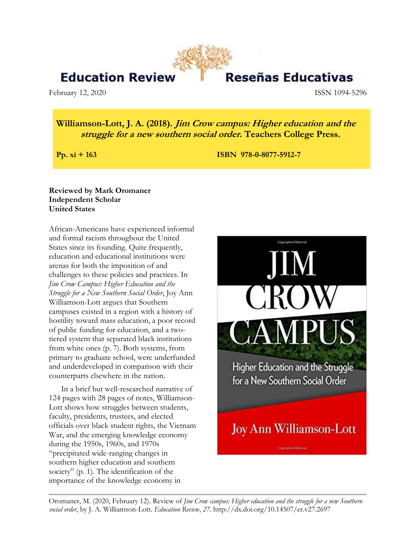## **Education Reviev**

February 12, 2020 **ISSN 1094-5296** 

# Reseñas Educativas

### **Williamson-Lott, J. A. (2018). Jim Crow campus: Higher education and the struggle for a new southern social order. Teachers College Press.**

**Pp. xi** + 163 **ISBN 978-0-8077-5912-7** 

#### **Reviewed by Mark Oromaner Independent Scholar United States**

African-Americans have experienced informal and formal racism throughout the United States since its founding. Quite frequently, education and educational institutions were arenas for both the imposition of and challenges to these policies and practices. In *Jim Crow Campus: Higher Education and the Struggle for a New Southern Social Order*, Joy Ann Williamson-Lott argues that Southern campuses existed in a region with a history of hostility toward mass education, a poor record of public funding for education, and a twotiered system that separated black institutions from white ones (p. 7). Both systems, from primary to graduate school, were underfunded and underdeveloped in comparison with their counterparts elsewhere in the nation.

In a brief but well-researched narrative of 124 pages with 28 pages of notes, Williamson-Lott shows how struggles between students, faculty, presidents, trustees, and elected officials over black student rights, the Vietnam War, and the emerging knowledge economy during the 1950s, 1960s, and 1970s "precipitated wide-ranging changes in southern higher education and southern society" (p. 1). The identification of the importance of the knowledge economy in



Oromaner, M. (2020, February 12). Review of *Jim Crow campus: Higher education and the struggle for a new Southern social order*, by J. A. Williamson-Lott. *Education Review*, *27*. http://dx.doi.org/10.14507/er.v27.2697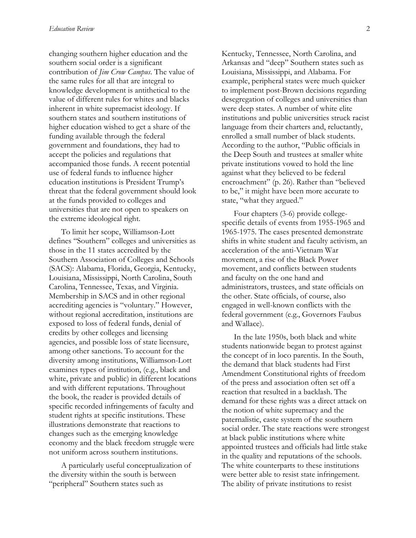changing southern higher education and the southern social order is a significant contribution of *Jim Crow Campus*. The value of the same rules for all that are integral to knowledge development is antithetical to the value of different rules for whites and blacks inherent in white supremacist ideology. If southern states and southern institutions of higher education wished to get a share of the funding available through the federal government and foundations, they had to accept the policies and regulations that accompanied those funds. A recent potential use of federal funds to influence higher education institutions is President Trump's threat that the federal government should look at the funds provided to colleges and universities that are not open to speakers on the extreme ideological right.

To limit her scope, Williamson-Lott defines "Southern" colleges and universities as those in the 11 states accredited by the Southern Association of Colleges and Schools (SACS): Alabama, Florida, Georgia, Kentucky, Louisiana, Mississippi, North Carolina, South Carolina, Tennessee, Texas, and Virginia. Membership in SACS and in other regional accrediting agencies is "voluntary." However, without regional accreditation, institutions are exposed to loss of federal funds, denial of credits by other colleges and licensing agencies, and possible loss of state licensure, among other sanctions. To account for the diversity among institutions, Williamson-Lott examines types of institution, (e.g., black and white, private and public) in different locations and with different reputations. Throughout the book, the reader is provided details of specific recorded infringements of faculty and student rights at specific institutions. These illustrations demonstrate that reactions to changes such as the emerging knowledge economy and the black freedom struggle were not uniform across southern institutions.

A particularly useful conceptualization of the diversity within the south is between "peripheral" Southern states such as

Kentucky, Tennessee, North Carolina, and Arkansas and "deep" Southern states such as Louisiana, Mississippi, and Alabama. For example, peripheral states were much quicker to implement post-Brown decisions regarding desegregation of colleges and universities than were deep states. A number of white elite institutions and public universities struck racist language from their charters and, reluctantly, enrolled a small number of black students. According to the author, "Public officials in the Deep South and trustees at smaller white private institutions vowed to hold the line against what they believed to be federal encroachment" (p. 26). Rather than "believed to be," it might have been more accurate to state, "what they argued."

Four chapters (3-6) provide collegespecific details of events from 1955-1965 and 1965-1975. The cases presented demonstrate shifts in white student and faculty activism, an acceleration of the anti-Vietnam War movement, a rise of the Black Power movement, and conflicts between students and faculty on the one hand and administrators, trustees, and state officials on the other. State officials, of course, also engaged in well-known conflicts with the federal government (e.g., Governors Faubus and Wallace).

In the late 1950s, both black and white students nationwide began to protest against the concept of in loco parentis. In the South, the demand that black students had First Amendment Constitutional rights of freedom of the press and association often set off a reaction that resulted in a backlash. The demand for these rights was a direct attack on the notion of white supremacy and the paternalistic, caste system of the southern social order. The state reactions were strongest at black public institutions where white appointed trustees and officials had little stake in the quality and reputations of the schools. The white counterparts to these institutions were better able to resist state infringement. The ability of private institutions to resist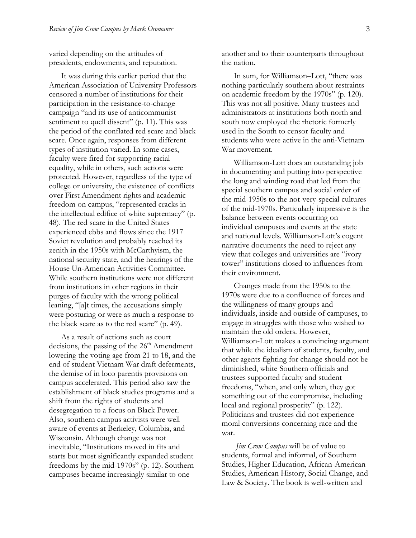varied depending on the attitudes of presidents, endowments, and reputation.

It was during this earlier period that the American Association of University Professors censored a number of institutions for their participation in the resistance-to-change campaign "and its use of anticommunist sentiment to quell dissent" (p. 11). This was the period of the conflated red scare and black scare. Once again, responses from different types of institution varied. In some cases, faculty were fired for supporting racial equality, while in others, such actions were protected. However, regardless of the type of college or university, the existence of conflicts over First Amendment rights and academic freedom on campus, "represented cracks in the intellectual edifice of white supremacy" (p. 48). The red scare in the United States experienced ebbs and flows since the 1917 Soviet revolution and probably reached its zenith in the 1950s with McCarthyism, the national security state, and the hearings of the House Un-American Activities Committee. While southern institutions were not different from institutions in other regions in their purges of faculty with the wrong political leaning, "[a]t times, the accusations simply were posturing or were as much a response to the black scare as to the red scare" (p. 49).

As a result of actions such as court decisions, the passing of the 26<sup>th</sup> Amendment lowering the voting age from 21 to 18, and the end of student Vietnam War draft deferments, the demise of in loco parentis provisions on campus accelerated. This period also saw the establishment of black studies programs and a shift from the rights of students and desegregation to a focus on Black Power. Also, southern campus activists were well aware of events at Berkeley, Columbia, and Wisconsin. Although change was not inevitable, "Institutions moved in fits and starts but most significantly expanded student freedoms by the mid-1970s" (p. 12). Southern campuses became increasingly similar to one

another and to their counterparts throughout the nation.

In sum, for Williamson–Lott, "there was nothing particularly southern about restraints on academic freedom by the 1970s" (p. 120). This was not all positive. Many trustees and administrators at institutions both north and south now employed the rhetoric formerly used in the South to censor faculty and students who were active in the anti-Vietnam War movement.

Williamson-Lott does an outstanding job in documenting and putting into perspective the long and winding road that led from the special southern campus and social order of the mid-1950s to the not-very-special cultures of the mid-1970s. Particularly impressive is the balance between events occurring on individual campuses and events at the state and national levels. Williamson-Lott's cogent narrative documents the need to reject any view that colleges and universities are "ivory tower" institutions closed to influences from their environment.

Changes made from the 1950s to the 1970s were due to a confluence of forces and the willingness of many groups and individuals, inside and outside of campuses, to engage in struggles with those who wished to maintain the old orders. However, Williamson-Lott makes a convincing argument that while the idealism of students, faculty, and other agents fighting for change should not be diminished, white Southern officials and trustees supported faculty and student freedoms, "when, and only when, they got something out of the compromise, including local and regional prosperity" (p. 122). Politicians and trustees did not experience moral conversions concerning race and the war.

*Jim Crow Campus* will be of value to students, formal and informal, of Southern Studies, Higher Education, African-American Studies, American History, Social Change, and Law & Society. The book is well-written and